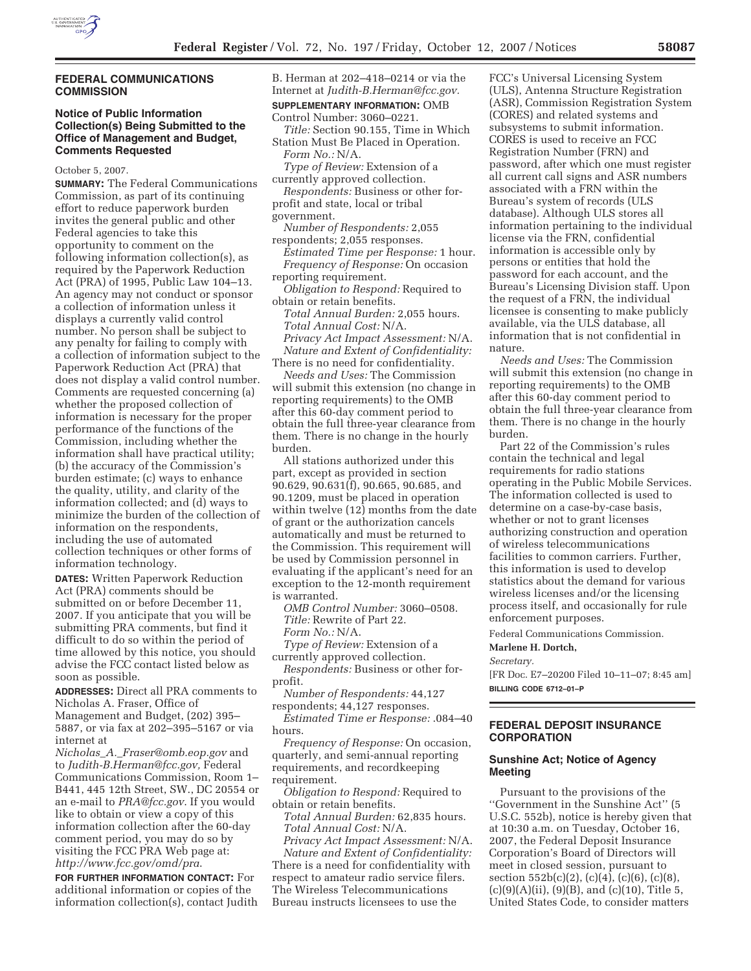

#### **FEDERAL COMMUNICATIONS COMMISSION**

# **Notice of Public Information Collection(s) Being Submitted to the Office of Management and Budget, Comments Requested**

October 5, 2007.

**SUMMARY:** The Federal Communications Commission, as part of its continuing effort to reduce paperwork burden invites the general public and other Federal agencies to take this opportunity to comment on the following information collection(s), as required by the Paperwork Reduction Act (PRA) of 1995, Public Law 104–13. An agency may not conduct or sponsor a collection of information unless it displays a currently valid control number. No person shall be subject to any penalty for failing to comply with a collection of information subject to the Paperwork Reduction Act (PRA) that does not display a valid control number. Comments are requested concerning (a) whether the proposed collection of information is necessary for the proper performance of the functions of the Commission, including whether the information shall have practical utility; (b) the accuracy of the Commission's burden estimate; (c) ways to enhance the quality, utility, and clarity of the information collected; and (d) ways to minimize the burden of the collection of information on the respondents, including the use of automated collection techniques or other forms of information technology.

**DATES:** Written Paperwork Reduction Act (PRA) comments should be submitted on or before December 11, 2007. If you anticipate that you will be submitting PRA comments, but find it difficult to do so within the period of time allowed by this notice, you should advise the FCC contact listed below as soon as possible.

**ADDRESSES:** Direct all PRA comments to Nicholas A. Fraser, Office of

Management and Budget, (202) 395– 5887, or via fax at 202–395–5167 or via internet at

*Nicholas*\_*A.*\_*Fraser@omb.eop.gov* and to *Judith-B.Herman@fcc.gov,* Federal Communications Commission, Room 1– B441, 445 12th Street, SW., DC 20554 or an e-mail to *PRA@fcc.gov*. If you would like to obtain or view a copy of this information collection after the 60-day comment period, you may do so by visiting the FCC PRA Web page at: *http://www.fcc.gov/omd/pra*.

**FOR FURTHER INFORMATION CONTACT:** For additional information or copies of the information collection(s), contact Judith B. Herman at 202–418–0214 or via the Internet at *Judith-B.Herman@fcc.gov.*  **SUPPLEMENTARY INFORMATION:** OMB

Control Number: 3060–0221. *Title:* Section 90.155, Time in Which

Station Must Be Placed in Operation. *Form No.:* N/A.

*Type of Review:* Extension of a currently approved collection.

*Respondents:* Business or other forprofit and state, local or tribal government.

*Number of Respondents:* 2,055 respondents; 2,055 responses.

*Estimated Time per Response:* 1 hour. *Frequency of Response:* On occasion reporting requirement.

*Obligation to Respond:* Required to obtain or retain benefits.

*Total Annual Burden:* 2,055 hours. *Total Annual Cost:* N/A. *Privacy Act Impact Assessment:* N/A. *Nature and Extent of Confidentiality:* 

There is no need for confidentiality. *Needs and Uses:* The Commission

will submit this extension (no change in reporting requirements) to the OMB after this 60-day comment period to obtain the full three-year clearance from them. There is no change in the hourly burden.

All stations authorized under this part, except as provided in section 90.629, 90.631(f), 90.665, 90.685, and 90.1209, must be placed in operation within twelve (12) months from the date of grant or the authorization cancels automatically and must be returned to the Commission. This requirement will be used by Commission personnel in evaluating if the applicant's need for an exception to the 12-month requirement is warranted.

*OMB Control Number:* 3060–0508. *Title:* Rewrite of Part 22.

*Form No.:* N/A.

*Type of Review:* Extension of a currently approved collection.

*Respondents:* Business or other forprofit.

*Number of Respondents:* 44,127 respondents; 44,127 responses.

*Estimated Time er Response:* .084–40 hours.

*Frequency of Response:* On occasion, quarterly, and semi-annual reporting requirements, and recordkeeping requirement.

*Obligation to Respond:* Required to obtain or retain benefits.

*Total Annual Burden:* 62,835 hours. *Total Annual Cost:* N/A. *Privacy Act Impact Assessment:* N/A.

*Nature and Extent of Confidentiality:*  There is a need for confidentiality with respect to amateur radio service filers. The Wireless Telecommunications Bureau instructs licensees to use the

FCC's Universal Licensing System (ULS), Antenna Structure Registration (ASR), Commission Registration System (CORES) and related systems and subsystems to submit information. CORES is used to receive an FCC Registration Number (FRN) and password, after which one must register all current call signs and ASR numbers associated with a FRN within the Bureau's system of records (ULS database). Although ULS stores all information pertaining to the individual license via the FRN, confidential information is accessible only by persons or entities that hold the password for each account, and the Bureau's Licensing Division staff. Upon the request of a FRN, the individual licensee is consenting to make publicly available, via the ULS database, all information that is not confidential in nature.

*Needs and Uses:* The Commission will submit this extension (no change in reporting requirements) to the OMB after this 60-day comment period to obtain the full three-year clearance from them. There is no change in the hourly burden.

Part 22 of the Commission's rules contain the technical and legal requirements for radio stations operating in the Public Mobile Services. The information collected is used to determine on a case-by-case basis, whether or not to grant licenses authorizing construction and operation of wireless telecommunications facilities to common carriers. Further, this information is used to develop statistics about the demand for various wireless licenses and/or the licensing process itself, and occasionally for rule enforcement purposes.

Federal Communications Commission.

**Marlene H. Dortch,** 

#### *Secretary.*

[FR Doc. E7–20200 Filed 10–11–07; 8:45 am] **BILLING CODE 6712–01–P** 

# **FEDERAL DEPOSIT INSURANCE CORPORATION**

### **Sunshine Act; Notice of Agency Meeting**

Pursuant to the provisions of the ''Government in the Sunshine Act'' (5 U.S.C. 552b), notice is hereby given that at 10:30 a.m. on Tuesday, October 16, 2007, the Federal Deposit Insurance Corporation's Board of Directors will meet in closed session, pursuant to section  $552b(c)(2)$ ,  $(c)(4)$ ,  $(c)(6)$ ,  $(c)(8)$ ,  $(c)(9)(A)(ii)$ ,  $(9)(B)$ , and  $(c)(10)$ , Title 5, United States Code, to consider matters